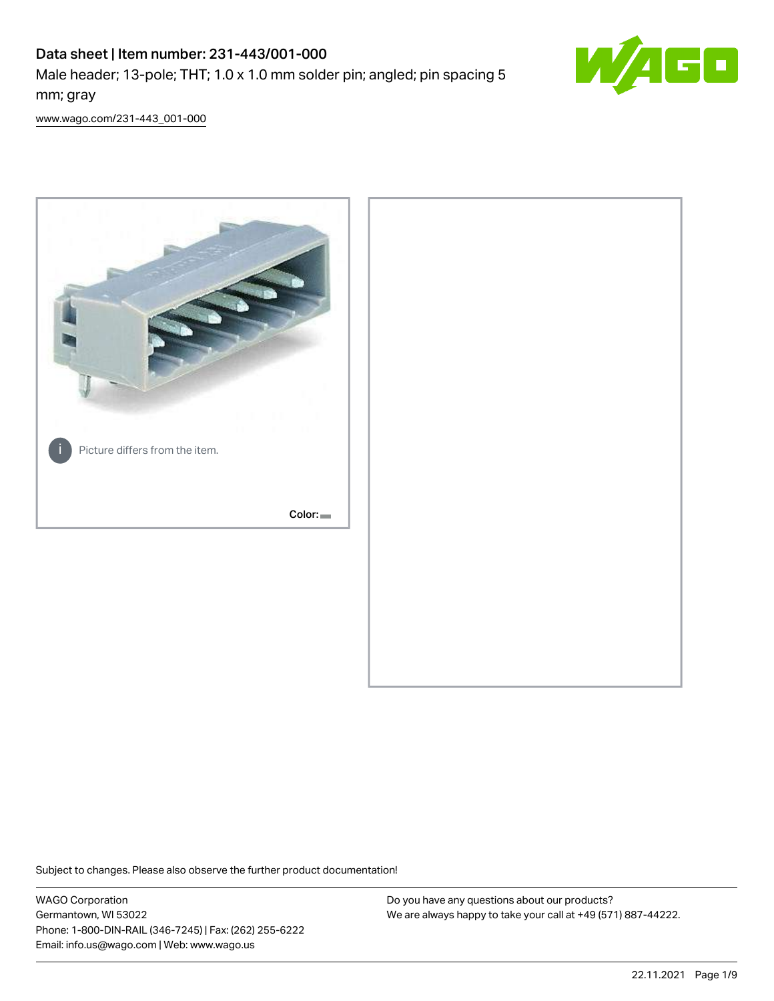# Data sheet | Item number: 231-443/001-000

Male header; 13-pole; THT; 1.0 x 1.0 mm solder pin; angled; pin spacing 5 mm; gray



[www.wago.com/231-443\\_001-000](http://www.wago.com/231-443_001-000)



Subject to changes. Please also observe the further product documentation!

WAGO Corporation Germantown, WI 53022 Phone: 1-800-DIN-RAIL (346-7245) | Fax: (262) 255-6222 Email: info.us@wago.com | Web: www.wago.us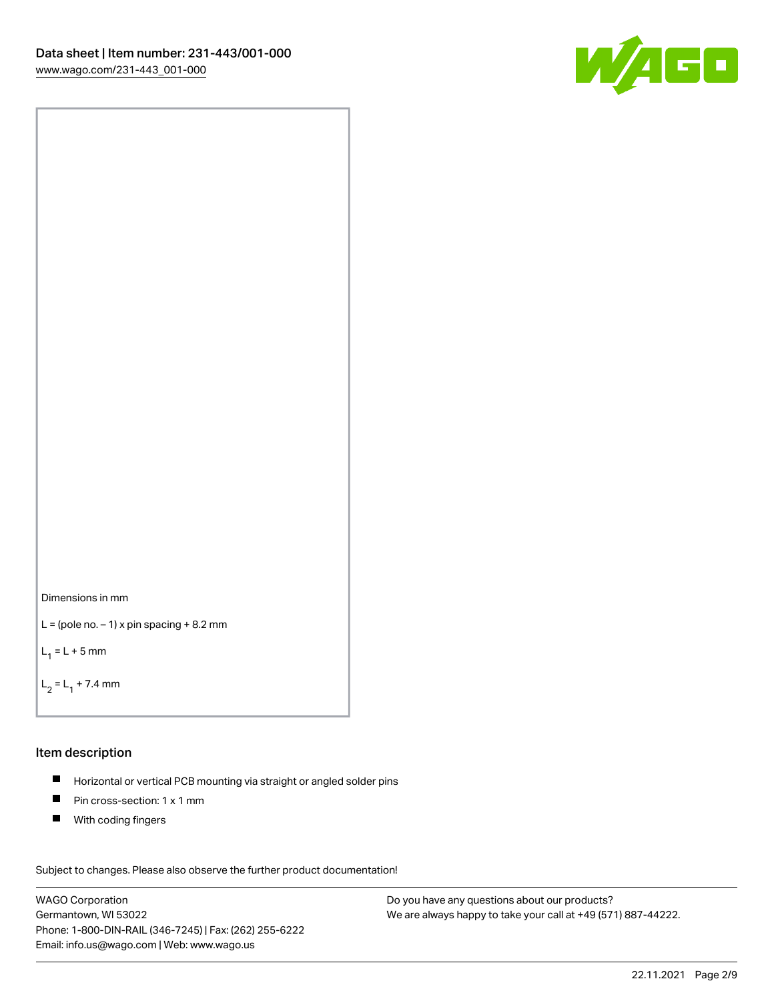

Dimensions in mm

```
L = (pole no. -1) x pin spacing +8.2 mm
```
 $L_1 = L + 5$  mm

```
L_2 = L_1 + 7.4 mm
```
### Item description

- Horizontal or vertical PCB mounting via straight or angled solder pins  $\blacksquare$
- $\blacksquare$ Pin cross-section: 1 x 1 mm
- $\blacksquare$ With coding fingers

Subject to changes. Please also observe the further product documentation! Data

WAGO Corporation Germantown, WI 53022 Phone: 1-800-DIN-RAIL (346-7245) | Fax: (262) 255-6222 Email: info.us@wago.com | Web: www.wago.us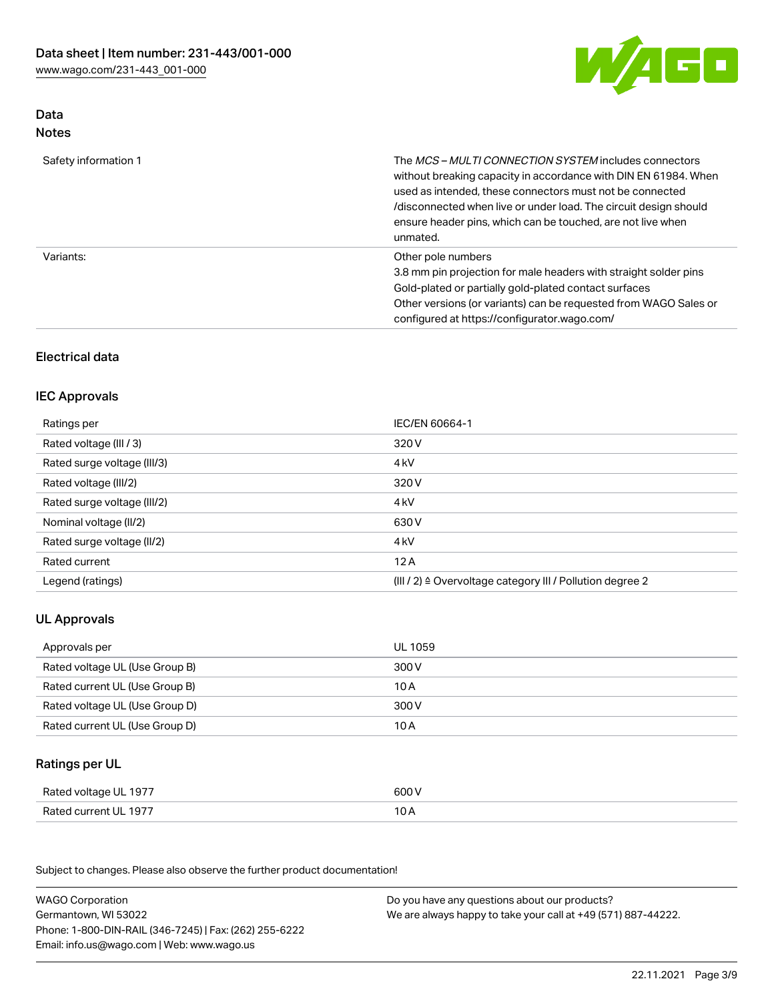

## Data Notes

| Safety information 1 | The <i>MCS – MULTI CONNECTION SYSTEM</i> includes connectors<br>without breaking capacity in accordance with DIN EN 61984. When<br>used as intended, these connectors must not be connected<br>/disconnected when live or under load. The circuit design should<br>ensure header pins, which can be touched, are not live when<br>unmated. |
|----------------------|--------------------------------------------------------------------------------------------------------------------------------------------------------------------------------------------------------------------------------------------------------------------------------------------------------------------------------------------|
| Variants:            | Other pole numbers<br>3.8 mm pin projection for male headers with straight solder pins<br>Gold-plated or partially gold-plated contact surfaces<br>Other versions (or variants) can be requested from WAGO Sales or<br>configured at https://configurator.wago.com/                                                                        |

# Electrical data

# IEC Approvals

| Ratings per                 | IEC/EN 60664-1                                                        |
|-----------------------------|-----------------------------------------------------------------------|
| Rated voltage (III / 3)     | 320 V                                                                 |
| Rated surge voltage (III/3) | 4 <sub>k</sub> V                                                      |
| Rated voltage (III/2)       | 320 V                                                                 |
| Rated surge voltage (III/2) | 4 <sub>k</sub> V                                                      |
| Nominal voltage (II/2)      | 630 V                                                                 |
| Rated surge voltage (II/2)  | 4 <sub>k</sub> V                                                      |
| Rated current               | 12A                                                                   |
| Legend (ratings)            | $(III / 2)$ $\triangle$ Overvoltage category III / Pollution degree 2 |

# UL Approvals

| Approvals per                  | UL 1059 |
|--------------------------------|---------|
| Rated voltage UL (Use Group B) | 300 V   |
| Rated current UL (Use Group B) | 10 A    |
| Rated voltage UL (Use Group D) | 300 V   |
| Rated current UL (Use Group D) | 10 A    |

## Ratings per UL

| Rated voltage UL 1977 | 600 V |
|-----------------------|-------|
| Rated current UL 1977 | 10 A  |

Subject to changes. Please also observe the further product documentation!

| <b>WAGO Corporation</b>                                | Do you have any questions about our products?                 |
|--------------------------------------------------------|---------------------------------------------------------------|
| Germantown, WI 53022                                   | We are always happy to take your call at +49 (571) 887-44222. |
| Phone: 1-800-DIN-RAIL (346-7245)   Fax: (262) 255-6222 |                                                               |
| Email: info.us@wago.com   Web: www.wago.us             |                                                               |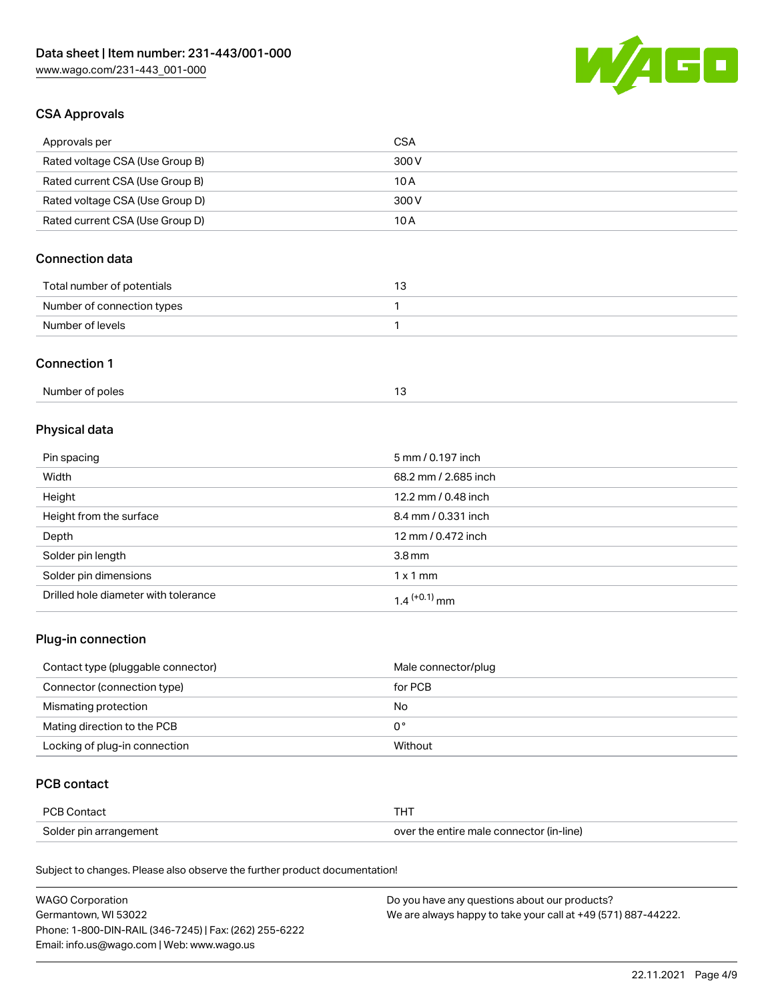

# CSA Approvals

| Approvals per                   | <b>CSA</b> |
|---------------------------------|------------|
| Rated voltage CSA (Use Group B) | 300 V      |
| Rated current CSA (Use Group B) | 10 A       |
| Rated voltage CSA (Use Group D) | 300 V      |
| Rated current CSA (Use Group D) | 10 A       |

# Connection data

| Total number of potentials |  |
|----------------------------|--|
| Number of connection types |  |
| Number of levels           |  |

### Connection 1

| Number of poles |  |
|-----------------|--|
|                 |  |

# Physical data

| Pin spacing                          | 5 mm / 0.197 inch    |
|--------------------------------------|----------------------|
| Width                                | 68.2 mm / 2.685 inch |
| Height                               | 12.2 mm / 0.48 inch  |
| Height from the surface              | 8.4 mm / 0.331 inch  |
| Depth                                | 12 mm / 0.472 inch   |
| Solder pin length                    | 3.8 <sub>mm</sub>    |
| Solder pin dimensions                | $1 \times 1$ mm      |
| Drilled hole diameter with tolerance | $1.4$ $(+0.1)$ mm    |

# Plug-in connection

| Contact type (pluggable connector) | Male connector/plug |
|------------------------------------|---------------------|
| Connector (connection type)        | for PCB             |
| Mismating protection               | No                  |
| Mating direction to the PCB        | 0°                  |
| Locking of plug-in connection      | Without             |

## PCB contact

| <b>PCB Contact</b>     |                                          |
|------------------------|------------------------------------------|
| Solder pin arrangement | over the entire male connector (in-line) |

Subject to changes. Please also observe the further product documentation!

| <b>WAGO Corporation</b>                                | Do you have any questions about our products?                 |
|--------------------------------------------------------|---------------------------------------------------------------|
| Germantown, WI 53022                                   | We are always happy to take your call at +49 (571) 887-44222. |
| Phone: 1-800-DIN-RAIL (346-7245)   Fax: (262) 255-6222 |                                                               |
| Email: info.us@wago.com   Web: www.wago.us             |                                                               |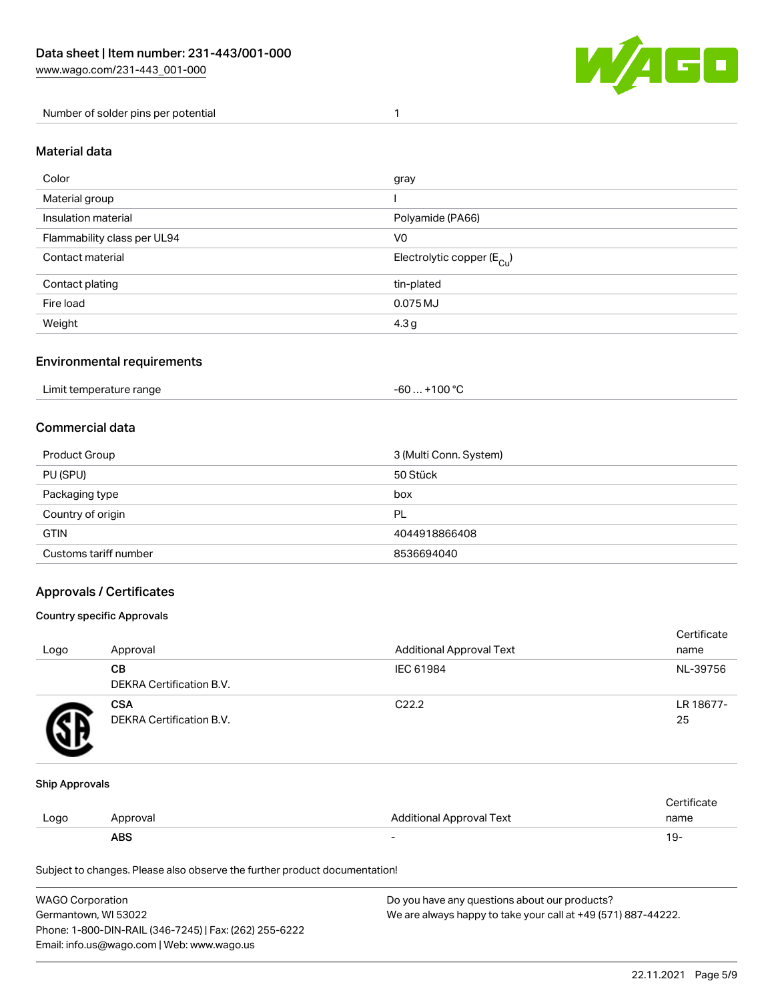

Number of solder pins per potential 1

### Material data

| Color                       | gray                                    |
|-----------------------------|-----------------------------------------|
| Material group              |                                         |
| Insulation material         | Polyamide (PA66)                        |
| Flammability class per UL94 | V <sub>0</sub>                          |
| Contact material            | Electrolytic copper ( $E_{\text{Cu}}$ ) |
| Contact plating             | tin-plated                              |
| Fire load                   | 0.075 MJ                                |
| Weight                      | 4.3 <sub>g</sub>                        |

## Environmental requirements

Limit temperature range  $-60... +100$  °C

## Commercial data

| Product Group         | 3 (Multi Conn. System) |
|-----------------------|------------------------|
| PU (SPU)              | 50 Stück               |
| Packaging type        | box                    |
| Country of origin     | PL                     |
| <b>GTIN</b>           | 4044918866408          |
| Customs tariff number | 8536694040             |

## Approvals / Certificates

#### Country specific Approvals

| Logo | Approval                               | <b>Additional Approval Text</b> | Certificate<br>name |
|------|----------------------------------------|---------------------------------|---------------------|
|      | CВ<br><b>DEKRA Certification B.V.</b>  | IEC 61984                       | NL-39756            |
|      | <b>CSA</b><br>DEKRA Certification B.V. | C <sub>22.2</sub>               | LR 18677-<br>25     |

#### Ship Approvals

|      | <b>ABS</b> |                          | 19-  |
|------|------------|--------------------------|------|
| LOQO | Approval   | Additional Approval Text | name |
|      |            |                          |      |

Subject to changes. Please also observe the further product documentation!

| <b>WAGO Corporation</b>                                | Do you have any questions about our products?                 |
|--------------------------------------------------------|---------------------------------------------------------------|
| Germantown, WI 53022                                   | We are always happy to take your call at +49 (571) 887-44222. |
| Phone: 1-800-DIN-RAIL (346-7245)   Fax: (262) 255-6222 |                                                               |
| Email: info.us@wago.com   Web: www.wago.us             |                                                               |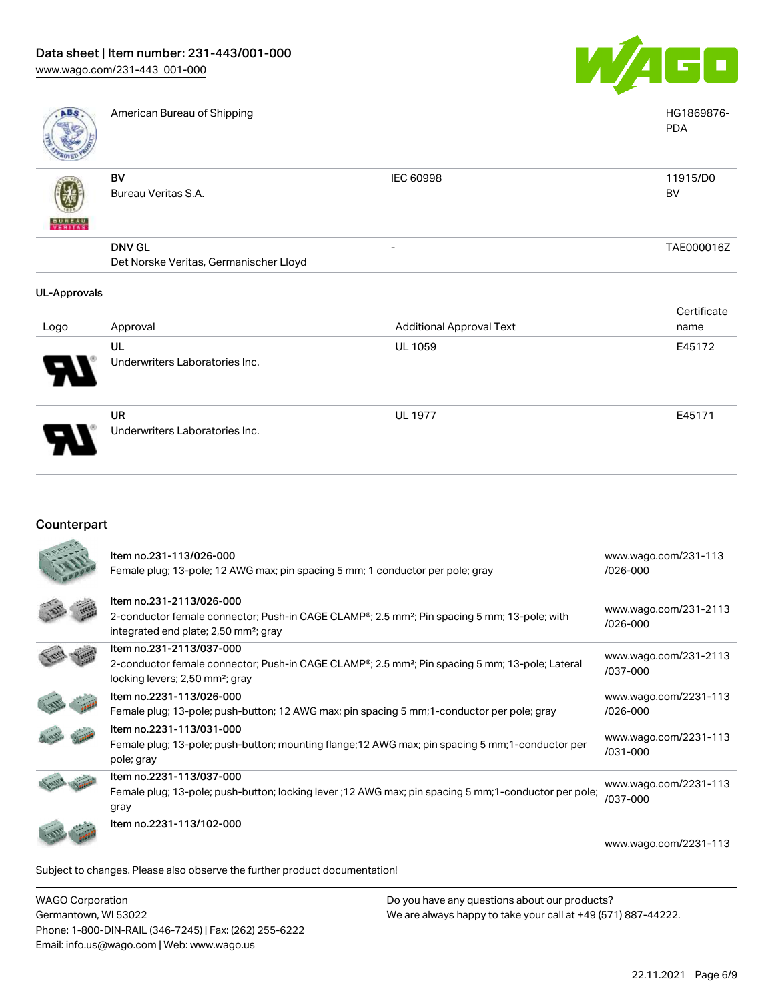

| <b>ABS</b>                                      | American Bureau of Shipping |           | HG1869876-<br><b>PDA</b> |
|-------------------------------------------------|-----------------------------|-----------|--------------------------|
| $\triangle$ $\triangle$ $\triangle$ $\triangle$ | B٧                          | IEC 60998 | 11915/D0                 |

| v |                                        |                          |            |
|---|----------------------------------------|--------------------------|------------|
|   | BV                                     | IEC 60998                | 11915/D0   |
|   | Bureau Veritas S.A.                    |                          | BV         |
| 쓚 |                                        |                          |            |
|   | <b>DNV GL</b>                          | $\overline{\phantom{0}}$ | TAE000016Z |
|   | Det Norske Veritas, Germanischer Lloyd |                          |            |
|   |                                        |                          |            |

#### UL-Approvals

書簡書

| Logo                  | Approval                                    | <b>Additional Approval Text</b> | Certificate<br>name |
|-----------------------|---------------------------------------------|---------------------------------|---------------------|
| $\boldsymbol{\theta}$ | UL<br>Underwriters Laboratories Inc.        | <b>UL 1059</b>                  | E45172              |
| J                     | <b>UR</b><br>Underwriters Laboratories Inc. | <b>UL 1977</b>                  | E45171              |

## Counterpart

| Item no.231-113/026-000<br>Female plug; 13-pole; 12 AWG max; pin spacing 5 mm; 1 conductor per pole; gray                                                                                              | www.wago.com/231-113<br>$1026 - 000$  |
|--------------------------------------------------------------------------------------------------------------------------------------------------------------------------------------------------------|---------------------------------------|
| Item no.231-2113/026-000<br>2-conductor female connector; Push-in CAGE CLAMP <sup>®</sup> ; 2.5 mm <sup>2</sup> ; Pin spacing 5 mm; 13-pole; with<br>integrated end plate; 2,50 mm <sup>2</sup> ; gray | www.wago.com/231-2113<br>$/026 - 000$ |
| Item no.231-2113/037-000<br>2-conductor female connector; Push-in CAGE CLAMP <sup>®</sup> ; 2.5 mm <sup>2</sup> ; Pin spacing 5 mm; 13-pole; Lateral<br>locking levers; 2,50 mm <sup>2</sup> ; gray    | www.wago.com/231-2113<br>/037-000     |
| Item no.2231-113/026-000<br>Female plug; 13-pole; push-button; 12 AWG max; pin spacing 5 mm; 1-conductor per pole; gray                                                                                | www.wago.com/2231-113<br>$/026 - 000$ |
| Item no.2231-113/031-000<br>Female plug; 13-pole; push-button; mounting flange; 12 AWG max; pin spacing 5 mm; 1-conductor per<br>pole; gray                                                            | www.wago.com/2231-113<br>/031-000     |
| Item no.2231-113/037-000<br>Female plug; 13-pole; push-button; locking lever ; 12 AWG max; pin spacing 5 mm; 1-conductor per pole;<br>gray                                                             | www.wago.com/2231-113<br>/037-000     |
| Item no.2231-113/102-000                                                                                                                                                                               | www.wago.com/2231-113                 |
| Subject to changes. Please also observe the further product documentation!                                                                                                                             |                                       |

WAGO Corporation Germantown, WI 53022 Phone: 1-800-DIN-RAIL (346-7245) | Fax: (262) 255-6222 Email: info.us@wago.com | Web: www.wago.us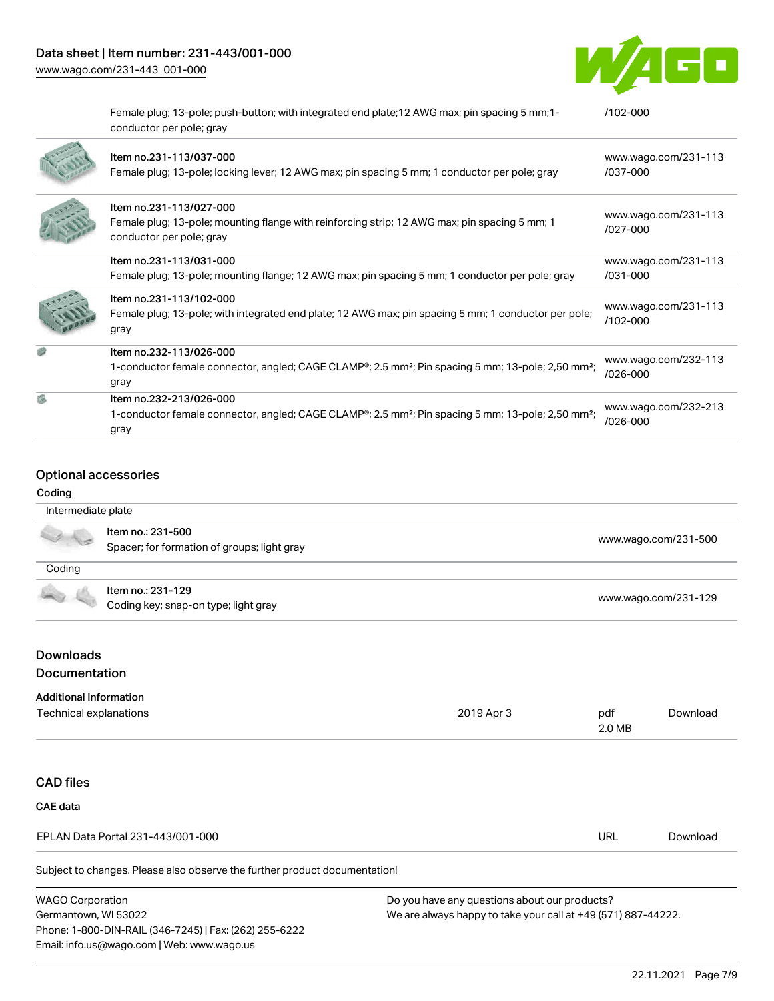[www.wago.com/231-443\\_001-000](http://www.wago.com/231-443_001-000)



Female plug; 13-pole; push-button; with integrated end plate;12 AWG max; pin spacing 5 mm;1 conductor per pole; gray [/102-000](https://www.wago.com/2231-113/102-000) Item no.231-113/037-000 Female plug; 13-pole; locking lever; 12 AWG max; pin spacing 5 mm; 1 conductor per pole; gray [www.wago.com/231-113](https://www.wago.com/231-113/037-000) [/037-000](https://www.wago.com/231-113/037-000) Item no.231-113/027-000 Female plug; 13-pole; mounting flange with reinforcing strip; 12 AWG max; pin spacing 5 mm; 1 conductor per pole; gray [www.wago.com/231-113](https://www.wago.com/231-113/027-000) [/027-000](https://www.wago.com/231-113/027-000) Item no.231-113/031-000 Female plug; 13-pole; mounting flange; 12 AWG max; pin spacing 5 mm; 1 conductor per pole; gray [www.wago.com/231-113](https://www.wago.com/231-113/031-000) [/031-000](https://www.wago.com/231-113/031-000) Item no.231-113/102-000 Female plug; 13-pole; with integrated end plate; 12 AWG max; pin spacing 5 mm; 1 conductor per pole; gray [www.wago.com/231-113](https://www.wago.com/231-113/102-000) [/102-000](https://www.wago.com/231-113/102-000) Item no.232-113/026-000 1-conductor female connector, angled; CAGE CLAMP®; 2.5 mm²; Pin spacing 5 mm; 13-pole; 2,50 mm²; gray [www.wago.com/232-113](https://www.wago.com/232-113/026-000) [/026-000](https://www.wago.com/232-113/026-000) Item no.232-213/026-000 1-conductor female connector, angled; CAGE CLAMP®; 2.5 mm²; Pin spacing 5 mm; 13-pole; 2,50 mm²; gray [www.wago.com/232-213](https://www.wago.com/232-213/026-000) [/026-000](https://www.wago.com/232-213/026-000)

#### Optional accessories

#### Coding

| Intermediate plate |                                                                  |                      |
|--------------------|------------------------------------------------------------------|----------------------|
|                    | Item no.: 231-500<br>Spacer; for formation of groups; light gray | www.wago.com/231-500 |
| Coding             |                                                                  |                      |
|                    | Item no.: 231-129<br>Coding key; snap-on type; light gray        | www.wago.com/231-129 |
|                    |                                                                  |                      |

## Downloads Documentation

#### Additional Information

| Technical explanations                                                     | 2019 Apr 3 | pdf<br>2.0 MB | Download |
|----------------------------------------------------------------------------|------------|---------------|----------|
|                                                                            |            |               |          |
| <b>CAD files</b>                                                           |            |               |          |
| CAE data                                                                   |            |               |          |
| EPLAN Data Portal 231-443/001-000                                          |            | <b>URL</b>    | Download |
| Subject to changes. Please also observe the further product documentation! |            |               |          |

| <b>WAGO Corporation</b>                                |
|--------------------------------------------------------|
| Germantown, WI 53022                                   |
| Phone: 1-800-DIN-RAIL (346-7245)   Fax: (262) 255-6222 |
| Email: info.us@wago.com   Web: www.wago.us             |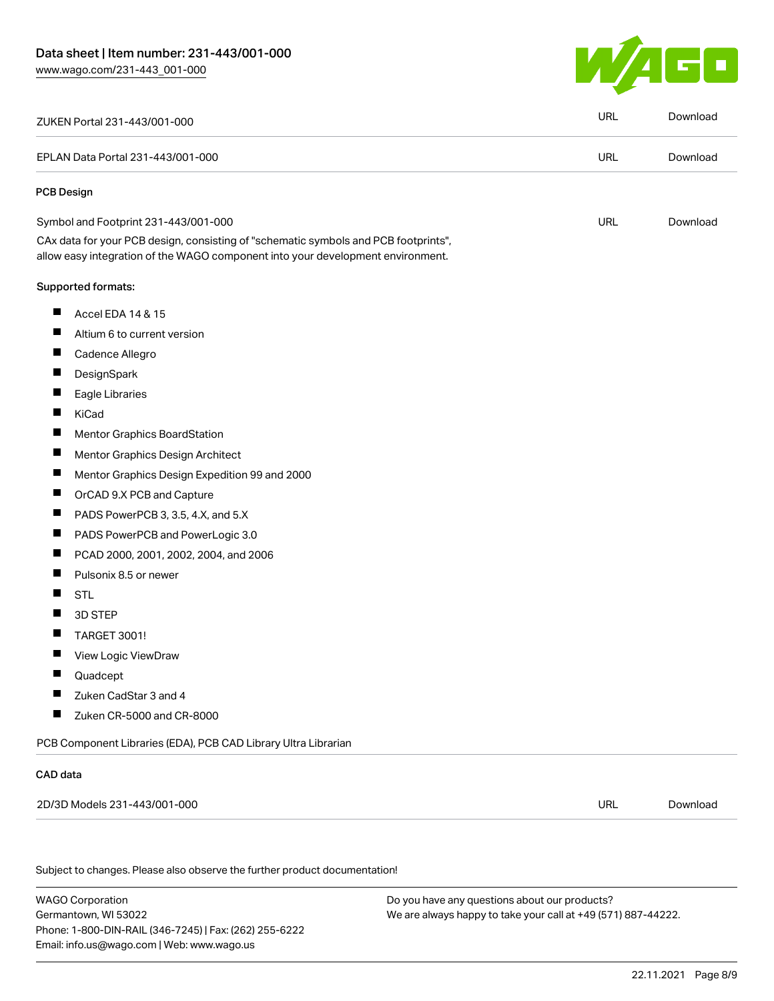

| ZUKEN Portal 231-443/001-000                                                                                                                                           | <b>URL</b> | Download |
|------------------------------------------------------------------------------------------------------------------------------------------------------------------------|------------|----------|
| EPLAN Data Portal 231-443/001-000                                                                                                                                      | <b>URL</b> | Download |
| <b>PCB Design</b>                                                                                                                                                      |            |          |
| Symbol and Footprint 231-443/001-000                                                                                                                                   | <b>URL</b> | Download |
| CAx data for your PCB design, consisting of "schematic symbols and PCB footprints",<br>allow easy integration of the WAGO component into your development environment. |            |          |
| Supported formats:                                                                                                                                                     |            |          |
| ш<br>Accel EDA 14 & 15                                                                                                                                                 |            |          |
| ш<br>Altium 6 to current version                                                                                                                                       |            |          |
| ш<br>Cadence Allegro                                                                                                                                                   |            |          |
| П<br>DesignSpark                                                                                                                                                       |            |          |
| ш<br>Eagle Libraries                                                                                                                                                   |            |          |
| $\blacksquare$<br>KiCad                                                                                                                                                |            |          |
| П<br>Mentor Graphics BoardStation                                                                                                                                      |            |          |
| Ц<br>Mentor Graphics Design Architect                                                                                                                                  |            |          |
| ш<br>Mentor Graphics Design Expedition 99 and 2000                                                                                                                     |            |          |
| П<br>OrCAD 9.X PCB and Capture                                                                                                                                         |            |          |
| щ<br>PADS PowerPCB 3, 3.5, 4.X, and 5.X                                                                                                                                |            |          |
| $\blacksquare$<br>PADS PowerPCB and PowerLogic 3.0                                                                                                                     |            |          |
| $\blacksquare$<br>PCAD 2000, 2001, 2002, 2004, and 2006                                                                                                                |            |          |
| ш<br>Pulsonix 8.5 or newer                                                                                                                                             |            |          |
| П<br><b>STL</b>                                                                                                                                                        |            |          |
| 3D STEP                                                                                                                                                                |            |          |
| <b>TARGET 3001!</b>                                                                                                                                                    |            |          |
| ш<br>View Logic ViewDraw                                                                                                                                               |            |          |
| Quadcept                                                                                                                                                               |            |          |
| Zuken CadStar 3 and 4                                                                                                                                                  |            |          |
| $\blacksquare$<br>Zuken CR-5000 and CR-8000                                                                                                                            |            |          |
| PCB Component Libraries (EDA), PCB CAD Library Ultra Librarian                                                                                                         |            |          |
| CAD data                                                                                                                                                               |            |          |
| 2D/3D Models 231-443/001-000                                                                                                                                           | URL        | Download |
|                                                                                                                                                                        |            |          |
| Subject to changes. Please also observe the further product documentation!                                                                                             |            |          |

WAGO Corporation Germantown, WI 53022 Phone: 1-800-DIN-RAIL (346-7245) | Fax: (262) 255-6222 Email: info.us@wago.com | Web: www.wago.us